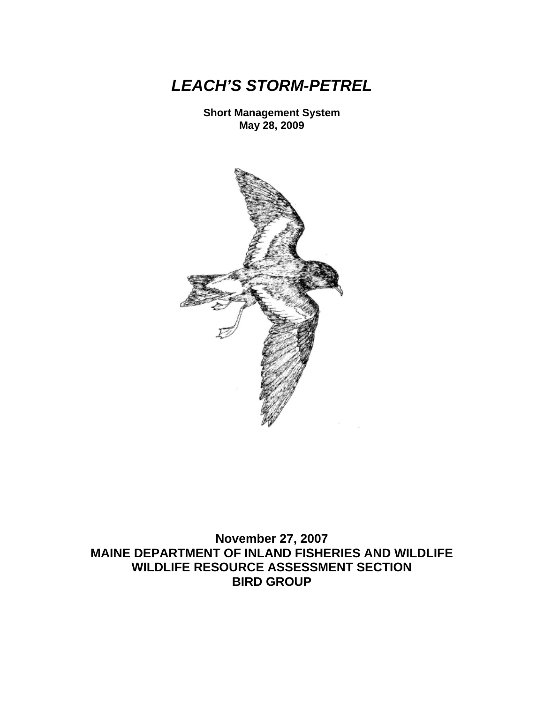*LEACH'S STORM-PETREL* 

**Short Management System May 28, 2009** 



**November 27, 2007 MAINE DEPARTMENT OF INLAND FISHERIES AND WILDLIFE WILDLIFE RESOURCE ASSESSMENT SECTION BIRD GROUP**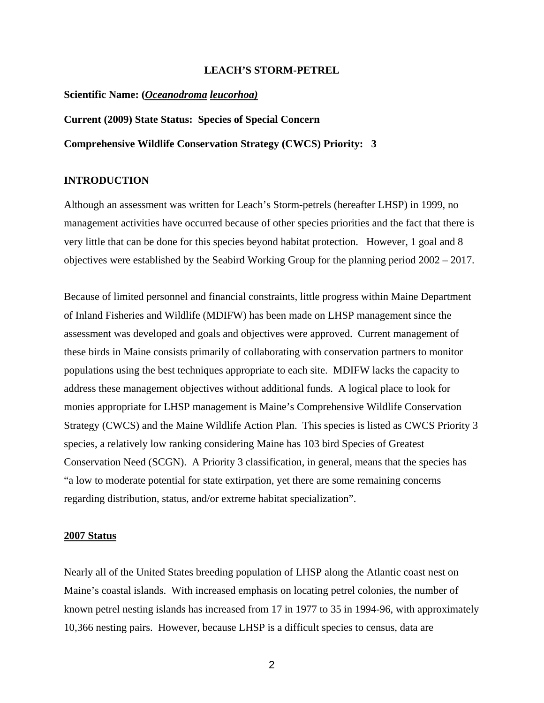#### **LEACH'S STORM-PETREL**

#### **Scientific Name: (***Oceanodroma leucorhoa)*

**Current (2009) State Status: Species of Special Concern** 

**Comprehensive Wildlife Conservation Strategy (CWCS) Priority: 3** 

## **INTRODUCTION**

Although an assessment was written for Leach's Storm-petrels (hereafter LHSP) in 1999, no management activities have occurred because of other species priorities and the fact that there is very little that can be done for this species beyond habitat protection. However, 1 goal and 8 objectives were established by the Seabird Working Group for the planning period 2002 – 2017.

Because of limited personnel and financial constraints, little progress within Maine Department of Inland Fisheries and Wildlife (MDIFW) has been made on LHSP management since the assessment was developed and goals and objectives were approved. Current management of these birds in Maine consists primarily of collaborating with conservation partners to monitor populations using the best techniques appropriate to each site. MDIFW lacks the capacity to address these management objectives without additional funds. A logical place to look for monies appropriate for LHSP management is Maine's Comprehensive Wildlife Conservation Strategy (CWCS) and the Maine Wildlife Action Plan. This species is listed as CWCS Priority 3 species, a relatively low ranking considering Maine has 103 bird Species of Greatest Conservation Need (SCGN). A Priority 3 classification, in general, means that the species has "a low to moderate potential for state extirpation, yet there are some remaining concerns regarding distribution, status, and/or extreme habitat specialization".

#### **2007 Status**

Nearly all of the United States breeding population of LHSP along the Atlantic coast nest on Maine's coastal islands. With increased emphasis on locating petrel colonies, the number of known petrel nesting islands has increased from 17 in 1977 to 35 in 1994-96, with approximately 10,366 nesting pairs. However, because LHSP is a difficult species to census, data are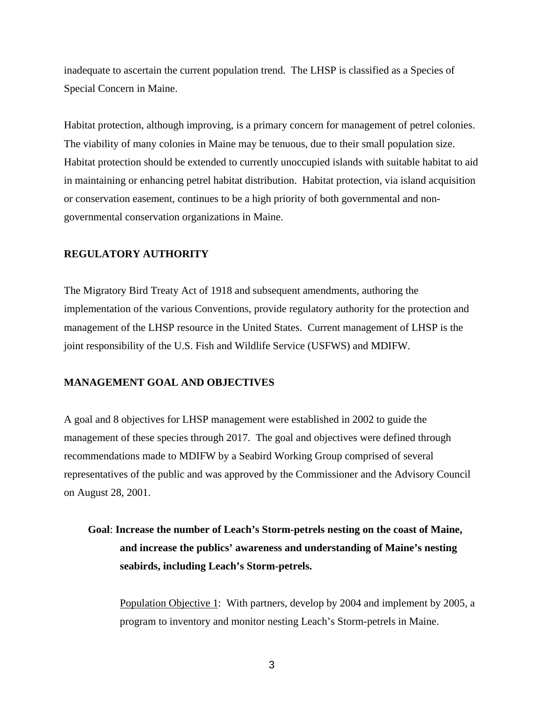inadequate to ascertain the current population trend. The LHSP is classified as a Species of Special Concern in Maine.

Habitat protection, although improving, is a primary concern for management of petrel colonies. The viability of many colonies in Maine may be tenuous, due to their small population size. Habitat protection should be extended to currently unoccupied islands with suitable habitat to aid in maintaining or enhancing petrel habitat distribution. Habitat protection, via island acquisition or conservation easement, continues to be a high priority of both governmental and nongovernmental conservation organizations in Maine.

# **REGULATORY AUTHORITY**

The Migratory Bird Treaty Act of 1918 and subsequent amendments, authoring the implementation of the various Conventions, provide regulatory authority for the protection and management of the LHSP resource in the United States. Current management of LHSP is the joint responsibility of the U.S. Fish and Wildlife Service (USFWS) and MDIFW.

# **MANAGEMENT GOAL AND OBJECTIVES**

A goal and 8 objectives for LHSP management were established in 2002 to guide the management of these species through 2017. The goal and objectives were defined through recommendations made to MDIFW by a Seabird Working Group comprised of several representatives of the public and was approved by the Commissioner and the Advisory Council on August 28, 2001.

# **Goal**: **Increase the number of Leach's Storm-petrels nesting on the coast of Maine, and increase the publics' awareness and understanding of Maine's nesting seabirds, including Leach's Storm-petrels.**

Population Objective 1: With partners, develop by 2004 and implement by 2005, a program to inventory and monitor nesting Leach's Storm-petrels in Maine.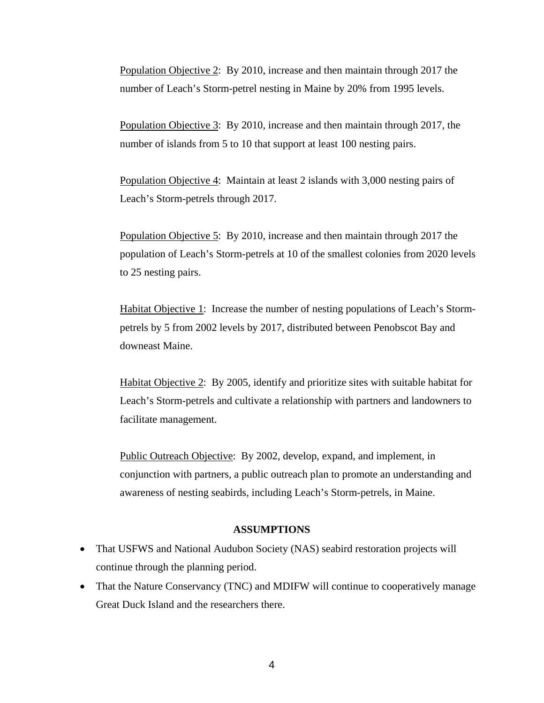Population Objective 2: By 2010, increase and then maintain through 2017 the number of Leach's Storm-petrel nesting in Maine by 20% from 1995 levels.

Population Objective 3: By 2010, increase and then maintain through 2017, the number of islands from 5 to 10 that support at least 100 nesting pairs.

Population Objective 4: Maintain at least 2 islands with 3,000 nesting pairs of Leach's Storm-petrels through 2017.

Population Objective 5: By 2010, increase and then maintain through 2017 the population of Leach's Storm-petrels at 10 of the smallest colonies from 2020 levels to 25 nesting pairs.

Habitat Objective 1: Increase the number of nesting populations of Leach's Stormpetrels by 5 from 2002 levels by 2017, distributed between Penobscot Bay and downeast Maine.

Habitat Objective 2: By 2005, identify and prioritize sites with suitable habitat for Leach's Storm-petrels and cultivate a relationship with partners and landowners to facilitate management.

Public Outreach Objective: By 2002, develop, expand, and implement, in conjunction with partners, a public outreach plan to promote an understanding and awareness of nesting seabirds, including Leach's Storm-petrels, in Maine.

## **ASSUMPTIONS**

- That USFWS and National Audubon Society (NAS) seabird restoration projects will continue through the planning period.
- That the Nature Conservancy (TNC) and MDIFW will continue to cooperatively manage Great Duck Island and the researchers there.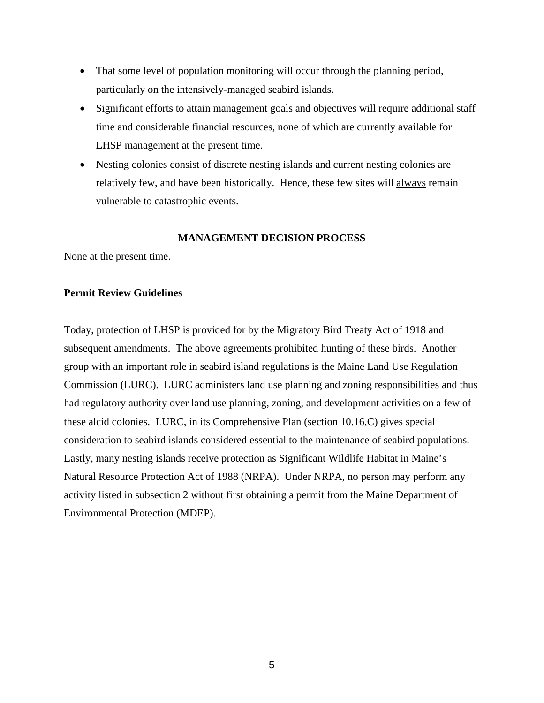- That some level of population monitoring will occur through the planning period, particularly on the intensively-managed seabird islands.
- Significant efforts to attain management goals and objectives will require additional staff time and considerable financial resources, none of which are currently available for LHSP management at the present time.
- Nesting colonies consist of discrete nesting islands and current nesting colonies are relatively few, and have been historically. Hence, these few sites will always remain vulnerable to catastrophic events.

## **MANAGEMENT DECISION PROCESS**

None at the present time.

## **Permit Review Guidelines**

Today, protection of LHSP is provided for by the Migratory Bird Treaty Act of 1918 and subsequent amendments. The above agreements prohibited hunting of these birds. Another group with an important role in seabird island regulations is the Maine Land Use Regulation Commission (LURC). LURC administers land use planning and zoning responsibilities and thus had regulatory authority over land use planning, zoning, and development activities on a few of these alcid colonies. LURC, in its Comprehensive Plan (section 10.16,C) gives special consideration to seabird islands considered essential to the maintenance of seabird populations. Lastly, many nesting islands receive protection as Significant Wildlife Habitat in Maine's Natural Resource Protection Act of 1988 (NRPA). Under NRPA, no person may perform any activity listed in subsection 2 without first obtaining a permit from the Maine Department of Environmental Protection (MDEP).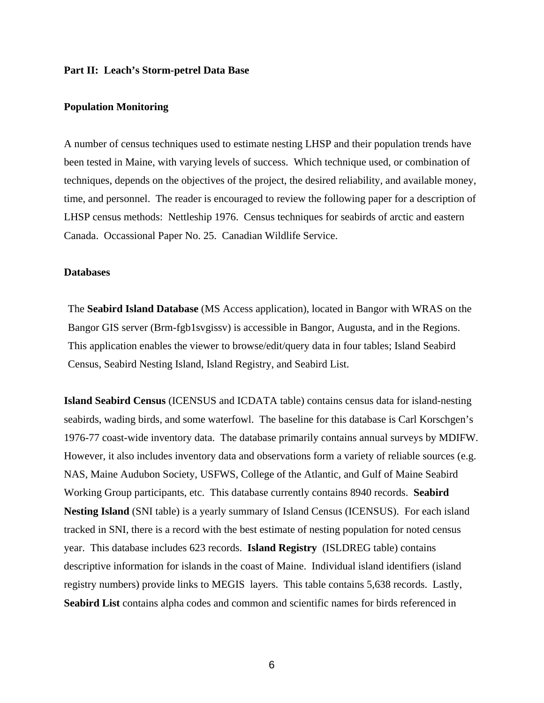#### **Part II: Leach's Storm-petrel Data Base**

### **Population Monitoring**

A number of census techniques used to estimate nesting LHSP and their population trends have been tested in Maine, with varying levels of success. Which technique used, or combination of techniques, depends on the objectives of the project, the desired reliability, and available money, time, and personnel. The reader is encouraged to review the following paper for a description of LHSP census methods: Nettleship 1976. Census techniques for seabirds of arctic and eastern Canada. Occassional Paper No. 25. Canadian Wildlife Service.

## **Databases**

The **Seabird Island Database** (MS Access application), located in Bangor with WRAS on the Bangor GIS server (Brm-fgb1svgissv) is accessible in Bangor, Augusta, and in the Regions. This application enables the viewer to browse/edit/query data in four tables; Island Seabird Census, Seabird Nesting Island, Island Registry, and Seabird List.

**Island Seabird Census** (ICENSUS and ICDATA table) contains census data for island-nesting seabirds, wading birds, and some waterfowl. The baseline for this database is Carl Korschgen's 1976-77 coast-wide inventory data. The database primarily contains annual surveys by MDIFW. However, it also includes inventory data and observations form a variety of reliable sources (e.g. NAS, Maine Audubon Society, USFWS, College of the Atlantic, and Gulf of Maine Seabird Working Group participants, etc. This database currently contains 8940 records. **Seabird Nesting Island** (SNI table) is a yearly summary of Island Census (ICENSUS). For each island tracked in SNI, there is a record with the best estimate of nesting population for noted census year. This database includes 623 records. **Island Registry** (ISLDREG table) contains descriptive information for islands in the coast of Maine. Individual island identifiers (island registry numbers) provide links to MEGIS layers. This table contains 5,638 records. Lastly, Seabird List contains alpha codes and common and scientific names for birds referenced in